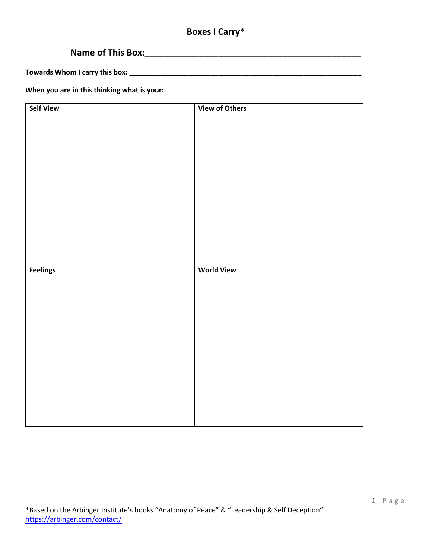# **Boxes I Carry\***

# **Name of This Box:\_\_\_\_\_\_\_\_\_\_\_\_\_\_\_\_\_\_\_\_\_\_\_\_\_\_\_\_\_\_\_\_\_\_\_\_\_\_\_\_\_\_\_\_**

**Towards Whom I carry this box: \_\_\_\_\_\_\_\_\_\_\_\_\_\_\_\_\_\_\_\_\_\_\_\_\_\_\_\_\_\_\_\_\_\_\_\_\_\_\_\_\_\_\_\_\_\_\_\_\_\_\_\_\_\_\_\_\_\_\_\_**

**When you are in this thinking what is your:**

| <b>Self View</b> | <b>View of Others</b> |
|------------------|-----------------------|
|                  |                       |
|                  |                       |
|                  |                       |
|                  |                       |
|                  |                       |
|                  |                       |
|                  |                       |
|                  |                       |
|                  |                       |
|                  |                       |
|                  |                       |
|                  |                       |
|                  |                       |
|                  |                       |
|                  |                       |
|                  |                       |
|                  |                       |
|                  | <b>World View</b>     |
| <b>Feelings</b>  |                       |
|                  |                       |
|                  |                       |
|                  |                       |
|                  |                       |
|                  |                       |
|                  |                       |
|                  |                       |
|                  |                       |
|                  |                       |
|                  |                       |
|                  |                       |
|                  |                       |
|                  |                       |
|                  |                       |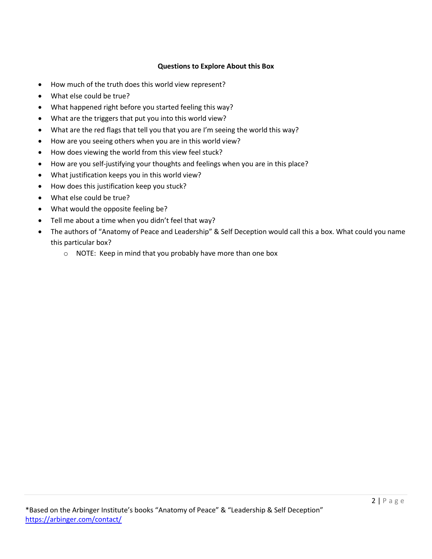### **Questions to Explore About this Box**

- How much of the truth does this world view represent?
- What else could be true?
- What happened right before you started feeling this way?
- What are the triggers that put you into this world view?
- What are the red flags that tell you that you are I'm seeing the world this way?
- How are you seeing others when you are in this world view?
- How does viewing the world from this view feel stuck?
- How are you self-justifying your thoughts and feelings when you are in this place?
- What justification keeps you in this world view?
- How does this justification keep you stuck?
- What else could be true?
- What would the opposite feeling be?
- Tell me about a time when you didn't feel that way?
- The authors of "Anatomy of Peace and Leadership" & Self Deception would call this a box. What could you name this particular box?
	- o NOTE: Keep in mind that you probably have more than one box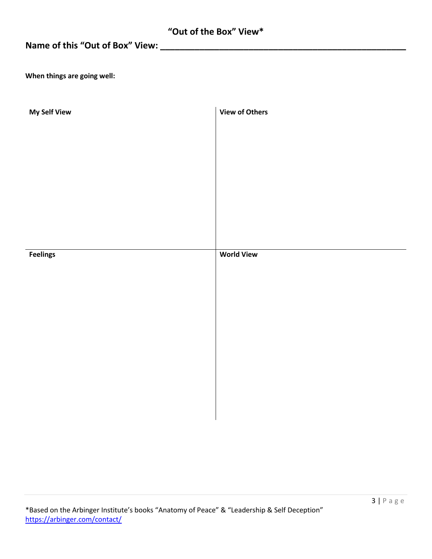# **Name of this "Out of Box" View: \_\_\_\_\_\_\_\_\_\_\_\_\_\_\_\_\_\_\_\_\_\_\_\_\_\_\_\_\_\_\_\_\_\_\_\_\_\_\_\_\_\_\_\_\_\_\_\_\_\_**

**When things are going well:**

| <b>My Self View</b> | <b>View of Others</b> |
|---------------------|-----------------------|
|                     |                       |
|                     |                       |
|                     |                       |
|                     |                       |
|                     |                       |
|                     |                       |
|                     |                       |
| <b>Feelings</b>     | <b>World View</b>     |
|                     |                       |
|                     |                       |
|                     |                       |
|                     |                       |
|                     |                       |
|                     |                       |
|                     |                       |
|                     |                       |
|                     |                       |
|                     |                       |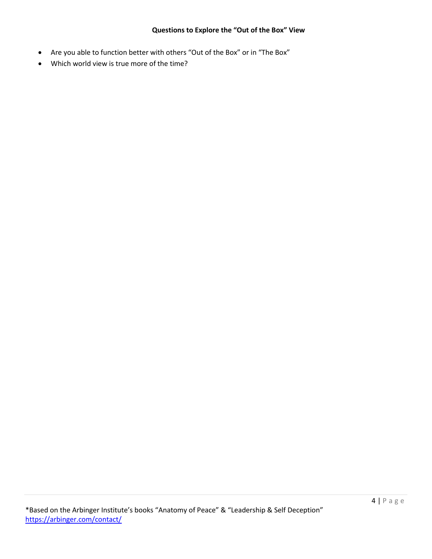#### **Questions to Explore the "Out of the Box" View**

- Are you able to function better with others "Out of the Box" or in "The Box"
- Which world view is true more of the time?